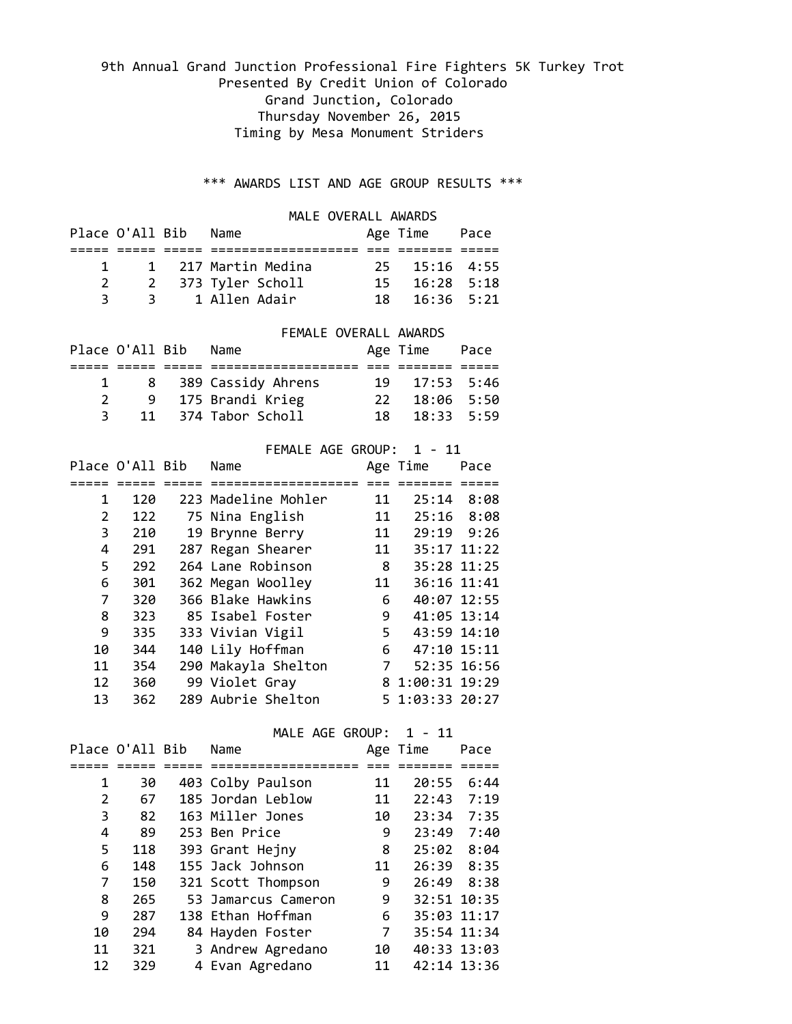# 9th Annual Grand Junction Professional Fire Fighters 5K Turkey Trot Presented By Credit Union of Colorado Grand Junction, Colorado Thursday November 26, 2015 Timing by Mesa Monument Striders

## \*\*\* AWARDS LIST AND AGE GROUP RESULTS \*\*\*

## MALE OVERALL AWARDS

|              | Place O'All Bib | Name                |  | Age Time Pace               |  |  |
|--------------|-----------------|---------------------|--|-----------------------------|--|--|
|              |                 |                     |  |                             |  |  |
| $\mathbf{1}$ |                 | 1 217 Martin Medina |  | $25 \quad 15:16 \quad 4:55$ |  |  |
|              |                 | 2 373 Tyler Scholl  |  | $15 \quad 16:28 \quad 5:18$ |  |  |
| 3.           |                 | 3 1 Allen Adair     |  | $18 \quad 16:36 \quad 5:21$ |  |  |

### FEMALE OVERALL AWARDS

|  | Place O'All Bib Name |                      |       | Age Time Pace |  |
|--|----------------------|----------------------|-------|---------------|--|
|  |                      |                      |       |               |  |
|  |                      | 8 389 Cassidy Ahrens |       | 19 17:53 5:46 |  |
|  |                      | 9 175 Brandi Krieg   | -22 - | 18:06 5:50    |  |
|  |                      | 11 374 Tabor Scholl  | 18.   | $18:33$ 5:59  |  |

|    |                 | FEMALE AGE GROUP:   |                | $1 - 11$        |      |
|----|-----------------|---------------------|----------------|-----------------|------|
|    | Place O'All Bib | Name                |                | Age Time        | Pace |
|    |                 |                     |                |                 |      |
| 1  | 120             | 223 Madeline Mohler | 11             | 25:14           | 8:08 |
| 2  | 122             | 75 Nina English     | 11             | $25:16$ 8:08    |      |
| 3  | 210             | 19 Brynne Berry     | 11             | 29:19           | 9:26 |
| 4  | 291             | 287 Regan Shearer   | 11             | 35:17 11:22     |      |
| 5  | 292             | 264 Lane Robinson   | $8\phantom{1}$ | 35:28 11:25     |      |
| 6  | 301             | 362 Megan Woolley   | 11             | 36:16 11:41     |      |
| 7  | 320             | 366 Blake Hawkins   | 6              | 40:07 12:55     |      |
| 8  | 323             | 85 Isabel Foster    | 9              | 41:05 13:14     |      |
| 9  | 335             | 333 Vivian Vigil    | 5              | 43:59 14:10     |      |
| 10 | 344             | 140 Lily Hoffman    | 6              | 47:10 15:11     |      |
| 11 | 354             | 290 Makayla Shelton | 7              | 52:35 16:56     |      |
| 12 | 360             | 99 Violet Gray      |                | 8 1:00:31 19:29 |      |
| 13 | 362             | 289 Aubrie Shelton  |                | 5 1:03:33 20:27 |      |

### MALE AGE GROUP: 1 - 11

|    | Place O'All Bib | Name                |    | Age Time    | Pace |
|----|-----------------|---------------------|----|-------------|------|
|    |                 |                     |    |             |      |
| 1  | 30              | 403 Colby Paulson   | 11 | 20:55       | 6:44 |
| 2  | 67              | 185 Jordan Leblow   | 11 | 22:43       | 7:19 |
| 3  | 82              | 163 Miller Jones    | 10 | 23:34       | 7:35 |
| 4  | 89              | 253 Ben Price       | 9  | 23:49       | 7:40 |
| 5  | 118             | 393 Grant Hejny     | 8  | 25:02       | 8:04 |
| 6  | 148             | 155 Jack Johnson    | 11 | 26:39       | 8:35 |
| 7  | 150             | 321 Scott Thompson  | 9  | 26:49       | 8:38 |
| 8  | 265             | 53 Jamarcus Cameron | 9  | 32:51 10:35 |      |
| 9  | 287             | 138 Ethan Hoffman   | 6  | 35:03 11:17 |      |
| 10 | 294             | 84 Hayden Foster    | 7  | 35:54 11:34 |      |
| 11 | 321             | 3 Andrew Agredano   | 10 | 40:33 13:03 |      |
| 12 | 329             | 4 Evan Agredano     | 11 | 42:14 13:36 |      |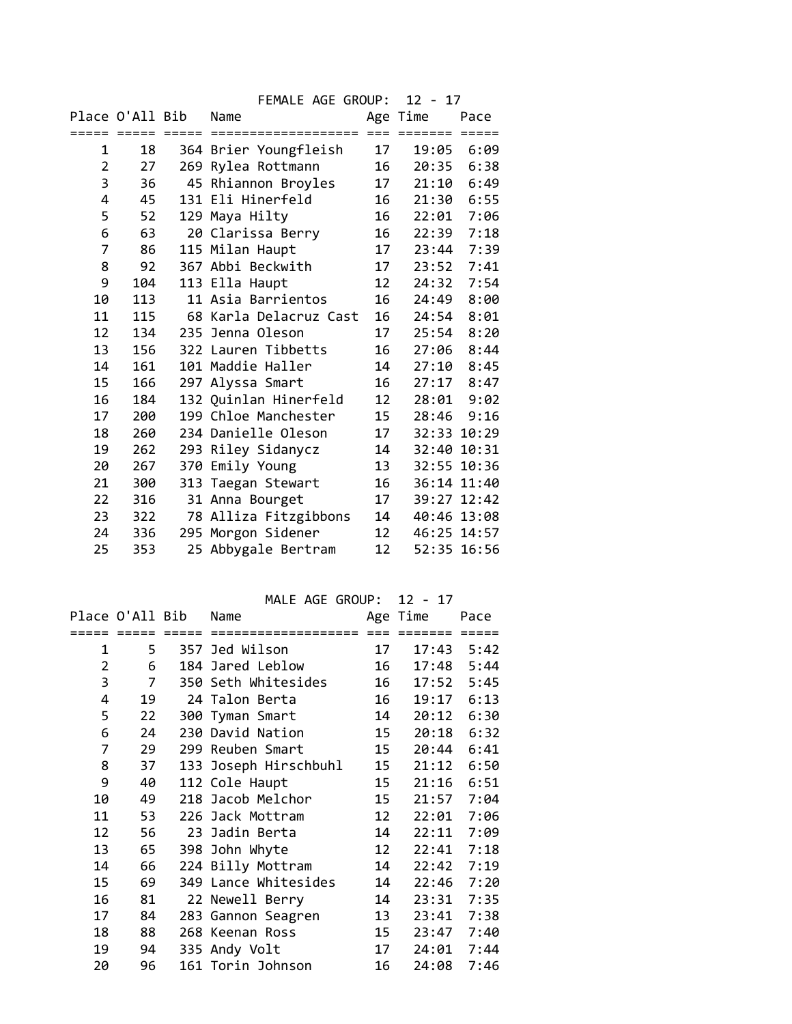|                |                 |         | FEMALE AGE GROUP:      |                 | $12 - 17$       |       |
|----------------|-----------------|---------|------------------------|-----------------|-----------------|-------|
|                | Place O'All Bib |         | Name                   |                 | Age Time        | Pace  |
|                | $=$ $=$ $=$ $=$ | $=====$ | ====================   |                 | $=$ = = = = = = | ===== |
| 1              | 18              |         | 364 Brier Youngfleish  | 17              | 19:05           | 6:09  |
| $\overline{2}$ | 27              |         | 269 Rylea Rottmann     | 16              | 20:35           | 6:38  |
| 3              | 36              |         | 45 Rhiannon Broyles    | 17              | 21:10           | 6:49  |
| 4              | 45              |         | 131 Eli Hinerfeld      | 16              | 21:30           | 6:55  |
| 5              | 52              |         | 129 Maya Hilty         | 16              | 22:01           | 7:06  |
| 6              | 63              |         | 20 Clarissa Berry      | 16              | 22:39           | 7:18  |
| 7              | 86              |         | 115 Milan Haupt        | 17              | 23:44           | 7:39  |
| 8              | 92              |         | 367 Abbi Beckwith      | 17              | 23:52           | 7:41  |
| 9              | 104             |         | 113 Ella Haupt         | 12              | 24:32           | 7:54  |
| 10             | 113             |         | 11 Asia Barrientos     | 16              | 24:49           | 8:00  |
| 11             | 115             |         | 68 Karla Delacruz Cast | 16              | 24:54           | 8:01  |
| 12             | 134             |         | 235 Jenna Oleson       | 17              | 25:54           | 8:20  |
| 13             | 156             |         | 322 Lauren Tibbetts    | 16              | 27:06           | 8:44  |
| 14             | 161             |         | 101 Maddie Haller      | 14              | 27:10           | 8:45  |
| 15             | 166             |         | 297 Alyssa Smart       | 16              | 27:17           | 8:47  |
| 16             | 184             |         | 132 Quinlan Hinerfeld  | 12              | 28:01           | 9:02  |
| 17             | 200             |         | 199 Chloe Manchester   | 15              | 28:46           | 9:16  |
| 18             | 260             |         | 234 Danielle Oleson    | 17              | 32:33 10:29     |       |
| 19             | 262             |         | 293 Riley Sidanycz     | 14              | 32:40 10:31     |       |
| 20             | 267             | 370     | Emily Young            | 13              | 32:55 10:36     |       |
| 21             | 300             |         | 313 Taegan Stewart     | 16              | 36:14 11:40     |       |
| 22             | 316             |         | 31 Anna Bourget        | 17              | 39:27 12:42     |       |
| 23             | 322             |         | 78 Alliza Fitzgibbons  | 14              | 40:46 13:08     |       |
| 24             | 336             |         | 295 Morgon Sidener     | 12 <sup>7</sup> | 46:25 14:57     |       |
| 25             | 353             |         | 25 Abbygale Bertram    | 12              | 52:35 16:56     |       |

MALE AGE GROUP: 12 - 17

|                | Place O'All Bib |       | Name                  |    | Age Time | Pace           |
|----------------|-----------------|-------|-----------------------|----|----------|----------------|
|                |                 | ===== | ====================  |    | =====    |                |
| 1              | 5               |       | 357 Jed Wilson        | 17 |          | $17:43$ $5:42$ |
| $\overline{2}$ | 6               |       | 184 Jared Leblow      | 16 | 17:48    | 5:44           |
| 3              | 7               |       | 350 Seth Whitesides   | 16 | 17:52    | 5:45           |
| 4              | 19              |       | 24 Talon Berta        | 16 | 19:17    | 6:13           |
| 5              | 22              |       | 300 Tyman Smart       | 14 | 20:12    | 6:30           |
| 6              | 24              |       | 230 David Nation      | 15 | 20:18    | 6:32           |
| 7              | 29              |       | 299 Reuben Smart      | 15 | 20:44    | 6:41           |
| 8              | 37              |       | 133 Joseph Hirschbuhl | 15 | 21:12    | 6:50           |
| 9              | 40              |       | 112 Cole Haupt        | 15 | 21:16    | 6:51           |
| 10             | 49              |       | 218 Jacob Melchor     | 15 | 21:57    | 7:04           |
| 11             | 53              |       | 226 Jack Mottram      | 12 | 22:01    | 7:06           |
| 12             | 56              |       | 23 Jadin Berta        | 14 | 22:11    | 7:09           |
| 13             | 65              |       | 398 John Whyte        | 12 | 22:41    | 7:18           |
| 14             | 66              |       | 224 Billy Mottram     | 14 | 22:42    | 7:19           |
| 15             | 69              |       | 349 Lance Whitesides  | 14 | 22:46    | 7:20           |
| 16             | 81              |       | 22 Newell Berry       | 14 | 23:31    | 7:35           |
| 17             | 84              |       | 283 Gannon Seagren    | 13 | 23:41    | 7:38           |
| 18             | 88              |       | 268 Keenan Ross       | 15 | 23:47    | 7:40           |
| 19             | 94              |       | 335 Andy Volt         | 17 | 24:01    | 7:44           |
| 20             | 96              |       | 161 Torin Johnson     | 16 | 24:08    | 7:46           |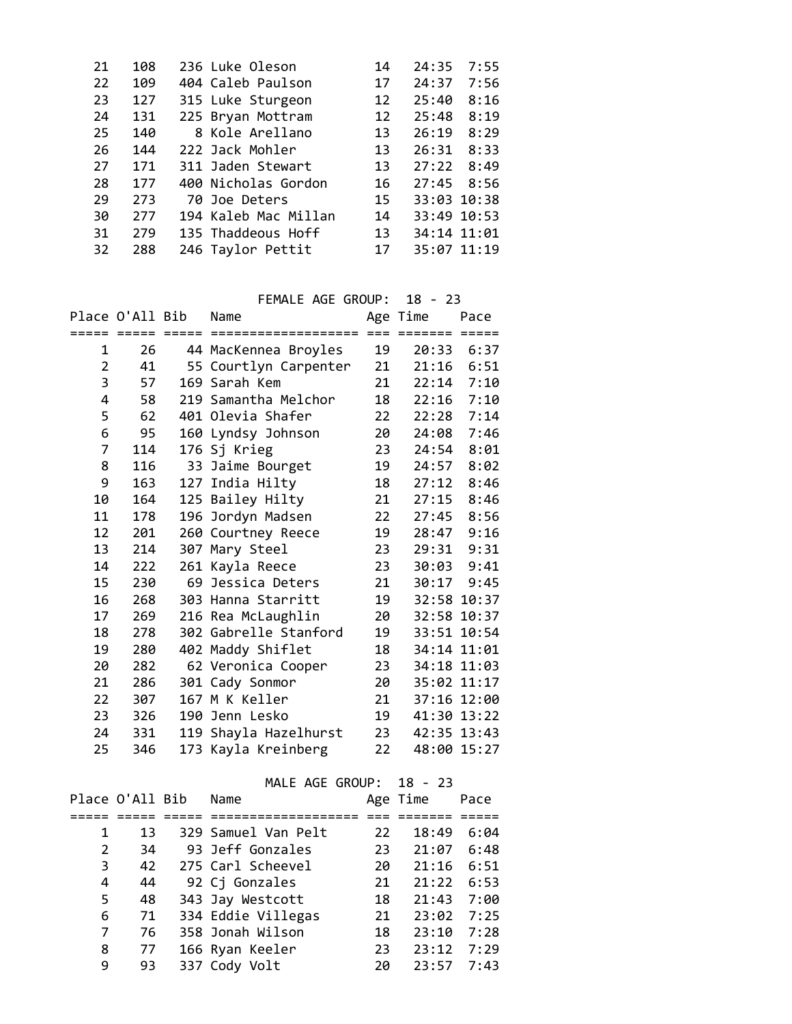| 108 |  | 14                                                                                                                                                                                                                                                   | 24:35       | 7:55 |
|-----|--|------------------------------------------------------------------------------------------------------------------------------------------------------------------------------------------------------------------------------------------------------|-------------|------|
| 109 |  | 17                                                                                                                                                                                                                                                   | 24:37       | 7:56 |
| 127 |  | 12                                                                                                                                                                                                                                                   | 25:40       | 8:16 |
| 131 |  | 12                                                                                                                                                                                                                                                   | 25:48       | 8:19 |
| 140 |  | 13                                                                                                                                                                                                                                                   | 26:19       | 8:29 |
| 144 |  | 13                                                                                                                                                                                                                                                   | 26:31       | 8:33 |
| 171 |  | 13                                                                                                                                                                                                                                                   | 27:22       | 8:49 |
| 177 |  | 16                                                                                                                                                                                                                                                   | 27:45       | 8:56 |
| 273 |  | 15                                                                                                                                                                                                                                                   | 33:03 10:38 |      |
| 277 |  | 14                                                                                                                                                                                                                                                   | 33:49 10:53 |      |
| 279 |  | 13                                                                                                                                                                                                                                                   | 34:14 11:01 |      |
| 288 |  | 17                                                                                                                                                                                                                                                   | 35:07 11:19 |      |
|     |  | 236 Luke Oleson<br>404 Caleb Paulson<br>315 Luke Sturgeon<br>225 Bryan Mottram<br>8 Kole Arellano<br>222 Jack Mohler<br>311 Jaden Stewart<br>400 Nicholas Gordon<br>70 Joe Deters<br>194 Kaleb Mac Millan<br>135 Thaddeous Hoff<br>246 Taylor Pettit |             |      |

FEMALE AGE GROUP: 18 - 23

|    | Place O'All Bib |        | Name                  |    | Age Time    | Pace        |
|----|-----------------|--------|-----------------------|----|-------------|-------------|
|    | ===== =====     | ------ |                       |    |             |             |
| 1  | 26              |        | 44 MacKennea Broyles  | 19 | 20:33       | 6:37        |
| 2  | 41              |        | 55 Courtlyn Carpenter | 21 | 21:16       | 6:51        |
| 3  | 57              |        | 169 Sarah Kem         | 21 | 22:14       | 7:10        |
| 4  | 58              |        | 219 Samantha Melchor  | 18 | 22:16       | 7:10        |
| 5  | 62              |        | 401 Olevia Shafer     | 22 | 22:28       | 7:14        |
| 6  | 95              |        | 160 Lyndsy Johnson    | 20 | 24:08       | 7:46        |
| 7  | 114             |        | 176 Sj Krieg          | 23 | 24:54       | 8:01        |
| 8  | 116             |        | 33 Jaime Bourget      | 19 | 24:57       | 8:02        |
| 9  | 163             |        | 127 India Hilty       | 18 | 27:12       | 8:46        |
| 10 | 164             |        | 125 Bailey Hilty      | 21 | 27:15       | 8:46        |
| 11 | 178             |        | 196 Jordyn Madsen     | 22 | 27:45       | 8:56        |
| 12 | 201             |        | 260 Courtney Reece    | 19 | 28:47       | 9:16        |
| 13 | 214             |        | 307 Mary Steel        | 23 | 29:31       | 9:31        |
| 14 | 222             |        | 261 Kayla Reece       | 23 | 30:03       | 9:41        |
| 15 | 230             |        | 69 Jessica Deters     | 21 |             | 30:17 9:45  |
| 16 | 268             |        | 303 Hanna Starritt    | 19 |             | 32:58 10:37 |
| 17 | 269             |        | 216 Rea McLaughlin    | 20 |             | 32:58 10:37 |
| 18 | 278             |        | 302 Gabrelle Stanford | 19 | 33:51 10:54 |             |
| 19 | 280             |        | 402 Maddy Shiflet     | 18 |             | 34:14 11:01 |
| 20 | 282             |        | 62 Veronica Cooper    | 23 | 34:18 11:03 |             |
| 21 | 286             |        | 301 Cady Sonmor       | 20 | 35:02 11:17 |             |
| 22 | 307             |        | 167 M K Keller        | 21 |             | 37:16 12:00 |
| 23 | 326             |        | 190 Jenn Lesko        | 19 | 41:30 13:22 |             |
| 24 | 331             |        | 119 Shayla Hazelhurst | 23 |             | 42:35 13:43 |
| 25 | 346             |        | 173 Kayla Kreinberg   | 22 | 48:00 15:27 |             |

MALE AGE GROUP: 18 - 23

|   | Place O'All Bib | Name                |    | Age Time | Pace |
|---|-----------------|---------------------|----|----------|------|
|   |                 |                     |    |          |      |
| 1 | 13              | 329 Samuel Van Pelt | 22 | 18:49    | 6:04 |
| 2 | 34              | 93 Jeff Gonzales    | 23 | 21:07    | 6:48 |
| 3 | 42              | 275 Carl Scheevel   | 20 | 21:16    | 6:51 |
| 4 | 44              | 92 Cj Gonzales      | 21 | 21:22    | 6:53 |
| 5 | 48              | 343 Jay Westcott    | 18 | 21:43    | 7:00 |
| 6 | 71              | 334 Eddie Villegas  | 21 | 23:02    | 7:25 |
| 7 | 76              | 358 Jonah Wilson    | 18 | 23:10    | 7:28 |
| 8 | 77              | 166 Ryan Keeler     | 23 | 23:12    | 7:29 |
| 9 | 93              | 337 Cody Volt       | 20 | 23:57    | 7:43 |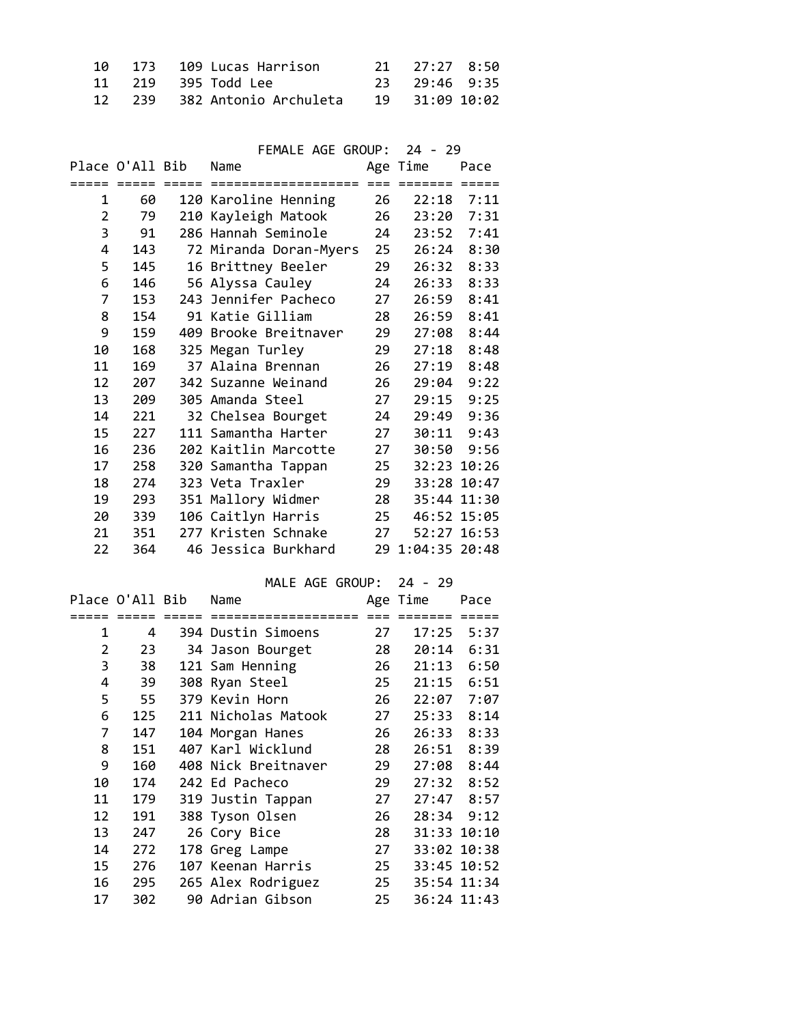|  | 10 173 109 Lucas Harrison        | 21 27:27 8:50  |  |
|--|----------------------------------|----------------|--|
|  |                                  | 23 29:46 9:35  |  |
|  | 12   239   382 Antonio Archuleta | 19 31:09 10:02 |  |

|                 |                 |                      | FEMALE AGE GROUP:         |    | $24 - 29$        |              |
|-----------------|-----------------|----------------------|---------------------------|----|------------------|--------------|
|                 |                 | Place O'All Bib Name |                           |    | Age Time         | Pace         |
|                 |                 |                      |                           |    |                  |              |
| 1               | 60              |                      | 120 Karoline Henning      | 26 | $22:18$ 7:11     |              |
| 2               | 79              |                      | 210 Kayleigh Matook       | 26 | 23:20 7:31       |              |
| 3               | 91              |                      | 286 Hannah Seminole       |    | 24 23:52 7:41    |              |
| 4               | 143             |                      | 72 Miranda Doran-Myers 25 |    |                  | 26:24 8:30   |
| 5               | 145             |                      | 16 Brittney Beeler        | 29 |                  | 26:32 8:33   |
| 6               | 146             |                      | 56 Alyssa Cauley          | 24 |                  | 26:33 8:33   |
| 7               | 153             |                      | 243 Jennifer Pacheco      | 27 |                  | 26:59 8:41   |
| 8               | 154             |                      | 91 Katie Gilliam          | 28 |                  | 26:59 8:41   |
| 9               | 159             |                      | 409 Brooke Breitnaver     | 29 |                  | 27:08 8:44   |
| 10              | 168             |                      | 325 Megan Turley          | 29 |                  | $27:18$ 8:48 |
| 11              | 169             |                      | 37 Alaina Brennan         | 26 |                  | $27:19$ 8:48 |
| 12              | 207             |                      | 342 Suzanne Weinand       | 26 |                  | 29:04 9:22   |
| 13 <sup>7</sup> | 209             |                      | 305 Amanda Steel          | 27 |                  | 29:15 9:25   |
| 14              | 221             |                      | 32 Chelsea Bourget        | 24 |                  | 29:49 9:36   |
| 15              | 227             |                      | 111 Samantha Harter       | 27 |                  | 30:11 9:43   |
| 16              | 236             |                      | 202 Kaitlin Marcotte      | 27 |                  | 30:50 9:56   |
| 17              | 258             |                      | 320 Samantha Tappan       |    | 25 32:23 10:26   |              |
| 18              | 274             |                      | 323 Veta Traxler          |    | 29 33:28 10:47   |              |
| 19              | 293             |                      | 351 Mallory Widmer        |    | 28 35:44 11:30   |              |
| 20              | 339             |                      | 106 Caitlyn Harris        |    | 25 46:52 15:05   |              |
| 21              | 351             |                      | 277 Kristen Schnake       | 27 |                  | 52:27 16:53  |
| 22              | 364             |                      | 46 Jessica Burkhard       |    | 29 1:04:35 20:48 |              |
|                 |                 |                      |                           |    |                  |              |
|                 |                 |                      | MALE AGE GROUP:           |    | $24 - 29$        |              |
|                 | Place O'All Bib |                      | Name                      |    | Age Time         | Pace         |
|                 |                 |                      |                           |    |                  |              |
| 1               | 4               |                      | 394 Dustin Simoens        | 27 |                  | $17:25$ 5:37 |
| $\overline{2}$  | 23              |                      | 34 Jason Bourget          | 28 | 20:14            | 6:31         |

| 1  | 4   | 394 Dustin Simoens  | 27 | 17:25 | 5:37           |  |
|----|-----|---------------------|----|-------|----------------|--|
| 2  | 23  | 34 Jason Bourget    | 28 | 20:14 | 6:31           |  |
| 3  | 38  | 121 Sam Henning     | 26 |       | 21:13 6:50     |  |
| 4  | 39  | 308 Ryan Steel      | 25 |       | $21:15$ $6:51$ |  |
| 5  | 55  | 379 Kevin Horn      | 26 | 22:07 | 7:07           |  |
| 6  | 125 | 211 Nicholas Matook | 27 |       | 25:33 8:14     |  |
| 7  | 147 | 104 Morgan Hanes    | 26 |       | 26:33 8:33     |  |
| 8  | 151 | 407 Karl Wicklund   | 28 |       | 26:51 8:39     |  |
| 9  | 160 | 408 Nick Breitnaver | 29 |       | $27:08$ 8:44   |  |
| 10 | 174 | 242 Ed Pacheco      | 29 |       | 27:32 8:52     |  |
| 11 | 179 | 319 Justin Tappan   | 27 |       | $27:47$ 8:57   |  |
| 12 | 191 | 388 Tyson Olsen     | 26 |       | $28:34$ $9:12$ |  |
| 13 | 247 | 26 Cory Bice        | 28 |       | 31:33 10:10    |  |
| 14 | 272 | 178 Greg Lampe      | 27 |       | 33:02 10:38    |  |
| 15 | 276 | 107 Keenan Harris   | 25 |       | 33:45 10:52    |  |
| 16 | 295 | 265 Alex Rodriguez  | 25 |       | 35:54 11:34    |  |
| 17 | 302 | 90 Adrian Gibson    | 25 |       | 36:24 11:43    |  |
|    |     |                     |    |       |                |  |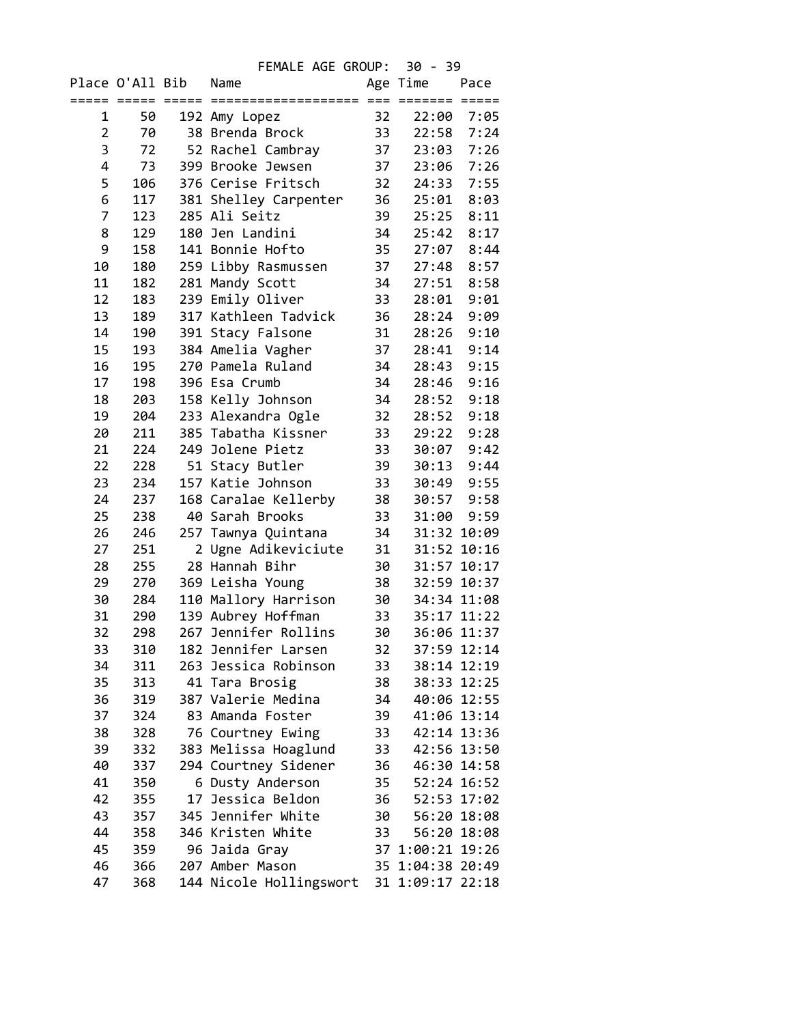FEMALE AGE GROUP: 30 - 39 Place O'All Bib Name Age Time Pace ===== ===== ===== =================== === ======= ===== 1 50 192 Amy Lopez 32 22:00 7:05 2 70 38 Brenda Brock 33 22:58 7:24 3 72 52 Rachel Cambray 37 23:03 7:26 4 73 399 Brooke Jewsen 37 23:06 7:26 5 106 376 Cerise Fritsch 32 24:33 7:55 6 117 381 Shelley Carpenter 36 25:01 8:03 7 123 285 Ali Seitz 39 25:25 8:11 8 129 180 Jen Landini 34 25:42 8:17 9 158 141 Bonnie Hofto 35 27:07 8:44 10 180 259 Libby Rasmussen 37 27:48 8:57 11 182 281 Mandy Scott 34 27:51 8:58 12 183 239 Emily Oliver 33 28:01 9:01 13 189 317 Kathleen Tadvick 36 28:24 9:09 14 190 391 Stacy Falsone 31 28:26 9:10 15 193 384 Amelia Vagher 37 28:41 9:14 16 195 270 Pamela Ruland 34 28:43 9:15 17 198 396 Esa Crumb 34 28:46 9:16 18 203 158 Kelly Johnson 34 28:52 9:18 19 204 233 Alexandra Ogle 32 28:52 9:18 20 211 385 Tabatha Kissner 33 29:22 9:28 21 224 249 Jolene Pietz 33 30:07 9:42 22 228 51 Stacy Butler 39 30:13 9:44 23 234 157 Katie Johnson 33 30:49 9:55 24 237 168 Caralae Kellerby 38 30:57 9:58 25 238 40 Sarah Brooks 33 31:00 9:59 26 246 257 Tawnya Quintana 34 31:32 10:09 27 251 2 Ugne Adikeviciute 31 31:52 10:16 28 255 28 Hannah Bihr 30 31:57 10:17 29 270 369 Leisha Young 38 32:59 10:37 30 284 110 Mallory Harrison 30 34:34 11:08 31 290 139 Aubrey Hoffman 33 35:17 11:22 32 298 267 Jennifer Rollins 30 36:06 11:37 33 310 182 Jennifer Larsen 34 311 263 Jessica Robinson 33 38:14 12:19 35 313 41 Tara Brosig 38 38:33 12:25 36 319 387 Valerie Medina 34 40:06 12:55 37 324 83 Amanda Foster 39 41:06 13:14<br>38 328 76 Courtney Ewing 33 42:14 13:36 328 76 Courtney Ewing 39 332 383 Melissa Hoaglund 33 42:56 13:50 40 337 294 Courtney Sidener 36 46:30 14:58 41 350 6 Dusty Anderson 35 52:24 16:52 42 355 17 Jessica Beldon 36 52:53 17:02 43 357 345 Jennifer White 30 56:20 18:08 44 358 346 Kristen White 33 56:20 18:08 45 359 96 Jaida Gray 37 1:00:21 19:26 46 366 207 Amber Mason 35 1:04:38 20:49 47 368 144 Nicole Hollingswort 31 1:09:17 22:18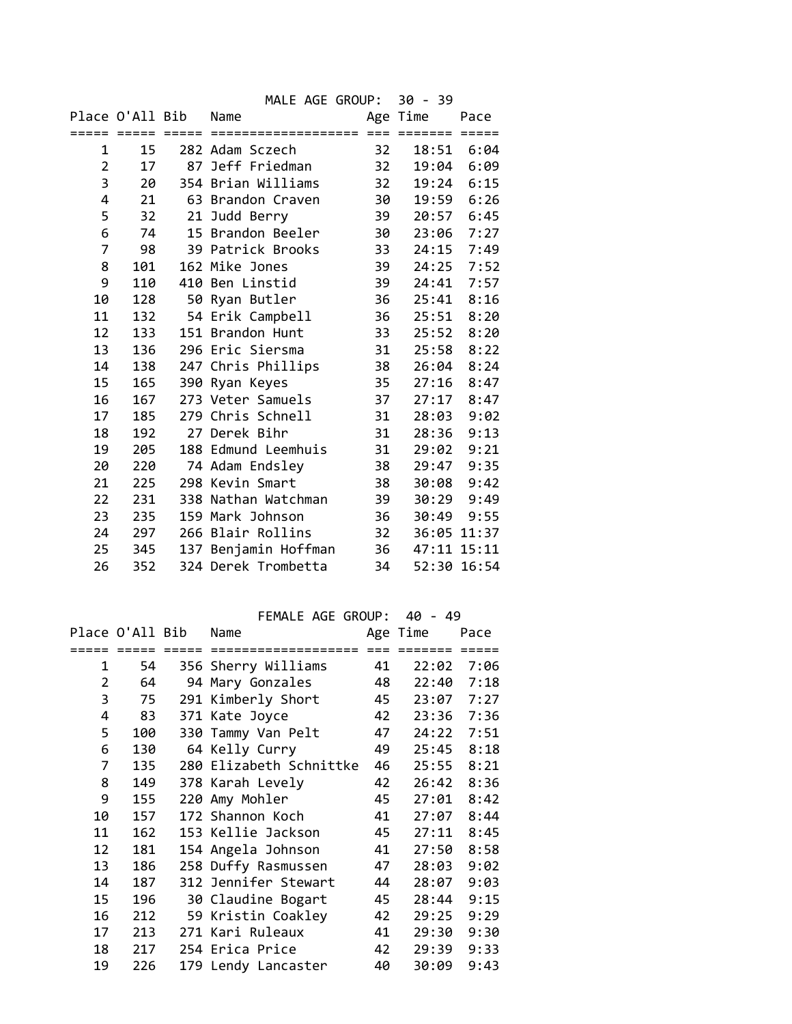|                |             |                 | MALE AGE GROUP:      |      | $30 - 39$   |             |
|----------------|-------------|-----------------|----------------------|------|-------------|-------------|
|                |             | Place O'All Bib | Name                 |      | Age Time    | Pace        |
|                | ===== ===== | =====           | ===================  | $==$ | =======     |             |
| 1              | 15          |                 | 282 Adam Sczech      | 32   | 18:51       | 6:04        |
| $\overline{2}$ | 17          |                 | 87 Jeff Friedman     | 32   | 19:04       | 6:09        |
| 3              | 20          |                 | 354 Brian Williams   | 32   | 19:24       | 6:15        |
| 4              | 21          |                 | 63 Brandon Craven    | 30   | 19:59       | 6:26        |
| 5              | 32          | 21              | Judd Berry           | 39   | 20:57       | 6:45        |
| 6              | 74          |                 | 15 Brandon Beeler    | 30   | 23:06       | 7:27        |
| 7              | 98          |                 | 39 Patrick Brooks    | 33   | 24:15       | 7:49        |
| 8              | 101         |                 | 162 Mike Jones       | 39   | 24:25       | 7:52        |
| 9              | 110         |                 | 410 Ben Linstid      | 39   | 24:41       | 7:57        |
| 10             | 128         |                 | 50 Ryan Butler       | 36   | 25:41       | 8:16        |
| 11             | 132         |                 | 54 Erik Campbell     | 36   | 25:51       | 8:20        |
| 12             | 133         |                 | 151 Brandon Hunt     | 33   | 25:52       | 8:20        |
| 13             | 136         |                 | 296 Eric Siersma     | 31   | 25:58       | 8:22        |
| 14             | 138         |                 | 247 Chris Phillips   | 38   | 26:04       | 8:24        |
| 15             | 165         |                 | 390 Ryan Keyes       | 35   | 27:16       | 8:47        |
| 16             | 167         |                 | 273 Veter Samuels    | 37   | 27:17       | 8:47        |
| 17             | 185         |                 | 279 Chris Schnell    | 31   | 28:03       | 9:02        |
| 18             | 192         |                 | 27 Derek Bihr        | 31   | 28:36       | 9:13        |
| 19             | 205         |                 | 188 Edmund Leemhuis  | 31   | 29:02       | 9:21        |
| 20             | 220         |                 | 74 Adam Endsley      | 38   | 29:47       | 9:35        |
| 21             | 225         |                 | 298 Kevin Smart      | 38   | 30:08       | 9:42        |
| 22             | 231         |                 | 338 Nathan Watchman  | 39   | 30:29       | 9:49        |
| 23             | 235         |                 | 159 Mark Johnson     | 36   | 30:49       | 9:55        |
| 24             | 297         |                 | 266 Blair Rollins    | 32   |             | 36:05 11:37 |
| 25             | 345         |                 | 137 Benjamin Hoffman | 36   | 47:11 15:11 |             |
| 26             | 352         |                 | 324 Derek Trombetta  | 34   |             | 52:30 16:54 |

FEMALE AGE GROUP: 40 - 49

|                | Place O'All Bib |                 | Name                    |       | Age Time       | Pace            |
|----------------|-----------------|-----------------|-------------------------|-------|----------------|-----------------|
|                | $=$ $=$ $=$ $=$ | $=$ $=$ $=$ $=$ | ===================     | $===$ | <b>EEEEEEE</b> | $=$ $=$ $=$ $=$ |
| 1              | 54              |                 | 356 Sherry Williams     | 41    |                | 22:02 7:06      |
| $\overline{2}$ | 64              |                 | 94 Mary Gonzales        | 48    |                | 22:40 7:18      |
| 3              | 75              |                 | 291 Kimberly Short      | 45    | 23:07          | 7:27            |
| 4              | 83              |                 | 371 Kate Joyce          | 42    | 23:36          | 7:36            |
| 5              | 100             |                 | 330 Tammy Van Pelt      | 47    | 24:22          | 7:51            |
| 6              | 130             |                 | 64 Kelly Curry          | 49    | 25:45          | 8:18            |
| 7              | 135             |                 | 280 Elizabeth Schnittke | 46    | 25:55          | 8:21            |
| 8              | 149             |                 | 378 Karah Levely        | 42    | 26:42          | 8:36            |
| 9              | 155             |                 | 220 Amy Mohler          | 45    | 27:01          | 8:42            |
| 10             | 157             |                 | 172 Shannon Koch        | 41    | 27:07          | 8:44            |
| 11             | 162             |                 | 153 Kellie Jackson      | 45    | 27:11          | 8:45            |
| 12             | 181             |                 | 154 Angela Johnson      | 41    | 27:50          | 8:58            |
| 13             | 186             |                 | 258 Duffy Rasmussen     | 47    | 28:03          | 9:02            |
| 14             | 187             |                 | 312 Jennifer Stewart    | 44    | 28:07          | 9:03            |
| 15             | 196             |                 | 30 Claudine Bogart      | 45    | 28:44          | 9:15            |
| 16             | 212             |                 | 59 Kristin Coakley      | 42    | 29:25          | 9:29            |
| 17             | 213             |                 | 271 Kari Ruleaux        | 41    | 29:30          | 9:30            |
| 18             | 217             |                 | 254 Erica Price         | 42    | 29:39          | 9:33            |
| 19             | 226             |                 | 179 Lendy Lancaster     | 40    | 30:09          | 9:43            |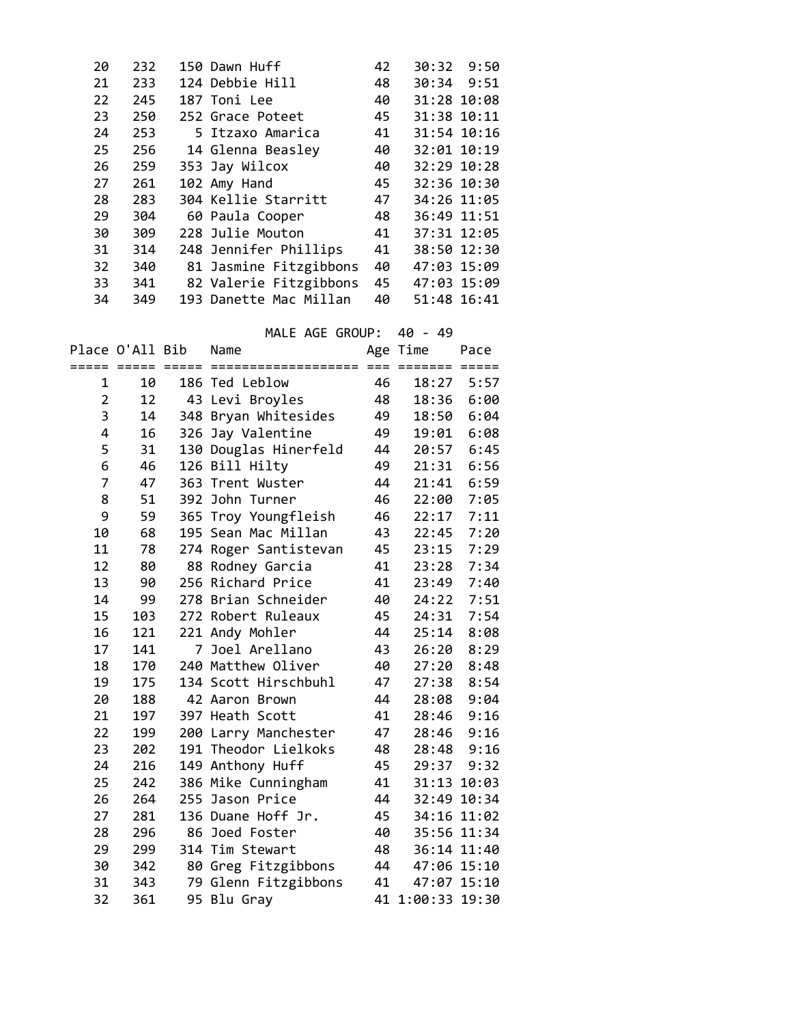| 20 | 232 | 150 Dawn Huff          | 42 | 30:32 9:50  |
|----|-----|------------------------|----|-------------|
| 21 | 233 | 124 Debbie Hill        | 48 | 30:34 9:51  |
| 22 | 245 | 187 Toni Lee           | 40 | 31:28 10:08 |
| 23 | 250 | 252 Grace Poteet       | 45 | 31:38 10:11 |
| 24 | 253 | 5 Itzaxo Amarica       | 41 | 31:54 10:16 |
| 25 | 256 | 14 Glenna Beasley      | 40 | 32:01 10:19 |
| 26 | 259 | 353 Jay Wilcox         | 40 | 32:29 10:28 |
| 27 | 261 | 102 Amy Hand           | 45 | 32:36 10:30 |
| 28 | 283 | 304 Kellie Starritt    | 47 | 34:26 11:05 |
| 29 | 304 | 60 Paula Cooper        | 48 | 36:49 11:51 |
| 30 | 309 | 228 Julie Mouton       | 41 | 37:31 12:05 |
| 31 | 314 | 248 Jennifer Phillips  | 41 | 38:50 12:30 |
| 32 | 340 | 81 Jasmine Fitzgibbons | 40 | 47:03 15:09 |
| 33 | 341 | 82 Valerie Fitzgibbons | 45 | 47:03 15:09 |
| 34 | 349 | 193 Danette Mac Millan | 40 | 51:48 16:41 |

|                |                 |                     | MALE AGE GROUP:       |    | 40 - 49              |             |
|----------------|-----------------|---------------------|-----------------------|----|----------------------|-------------|
|                | Place O'All Bib |                     | Name                  |    | Age Time             | Pace        |
|                | ===== =====     | $=$ $=$ $=$ $=$ $=$ | ===================   |    | $==  =  =  =  =  = $ | $= = = = =$ |
| 1              | 10              |                     | 186 Ted Leblow        | 46 | 18:27                | 5:57        |
| $\overline{2}$ | 12              |                     | 43 Levi Broyles       | 48 | 18:36                | 6:00        |
| 3              | 14              |                     | 348 Bryan Whitesides  | 49 | 18:50                | 6:04        |
| 4              | 16              |                     | 326 Jay Valentine     | 49 | 19:01                | 6:08        |
| 5              | 31              |                     | 130 Douglas Hinerfeld | 44 | 20:57                | 6:45        |
| 6              | 46              |                     | 126 Bill Hilty        | 49 | 21:31                | 6:56        |
| 7              | 47              |                     | 363 Trent Wuster      | 44 | 21:41                | 6:59        |
| 8              | 51              |                     | 392 John Turner       | 46 | 22:00                | 7:05        |
| 9              | 59              | 365                 | Troy Youngfleish      | 46 | 22:17                | 7:11        |
| 10             | 68              |                     | 195 Sean Mac Millan   | 43 | 22:45                | 7:20        |
| 11             | 78              |                     | 274 Roger Santistevan | 45 | 23:15                | 7:29        |
| 12             | 80              |                     | 88 Rodney Garcia      | 41 | 23:28                | 7:34        |
| 13             | 90              |                     | 256 Richard Price     | 41 | 23:49                | 7:40        |
| 14             | 99              |                     | 278 Brian Schneider   | 40 | 24:22                | 7:51        |
| 15             | 103             |                     | 272 Robert Ruleaux    | 45 | 24:31                | 7:54        |
| 16             | 121             |                     | 221 Andy Mohler       | 44 | 25:14                | 8:08        |
| 17             | 141             | 7                   | Joel Arellano         | 43 | 26:20                | 8:29        |
| 18             | 170             |                     | 240 Matthew Oliver    | 40 | 27:20                | 8:48        |
| 19             | 175             |                     | 134 Scott Hirschbuhl  | 47 | 27:38                | 8:54        |
| 20             | 188             |                     | 42 Aaron Brown        | 44 | 28:08                | 9:04        |
| 21             | 197             |                     | 397 Heath Scott       | 41 | 28:46                | 9:16        |
| 22             | 199             |                     | 200 Larry Manchester  | 47 | 28:46                | 9:16        |
| 23             | 202             |                     | 191 Theodor Lielkoks  | 48 | 28:48                | 9:16        |
| 24             | 216             |                     | 149 Anthony Huff      | 45 | 29:37                | 9:32        |
| 25             | 242             | 386                 | Mike Cunningham       | 41 | 31:13                | 10:03       |
| 26             | 264             |                     | 255 Jason Price       | 44 | 32:49                | 10:34       |
| 27             | 281             |                     | 136 Duane Hoff Jr.    | 45 |                      | 34:16 11:02 |
| 28             | 296             |                     | 86 Joed Foster        | 40 |                      | 35:56 11:34 |
| 29             | 299             |                     | 314 Tim Stewart       | 48 |                      | 36:14 11:40 |
| 30             | 342             |                     | 80 Greg Fitzgibbons   | 44 |                      | 47:06 15:10 |
| 31             | 343             |                     | 79 Glenn Fitzgibbons  | 41 |                      | 47:07 15:10 |
| 32             | 361             |                     | 95 Blu Gray           |    | 41 1:00:33 19:30     |             |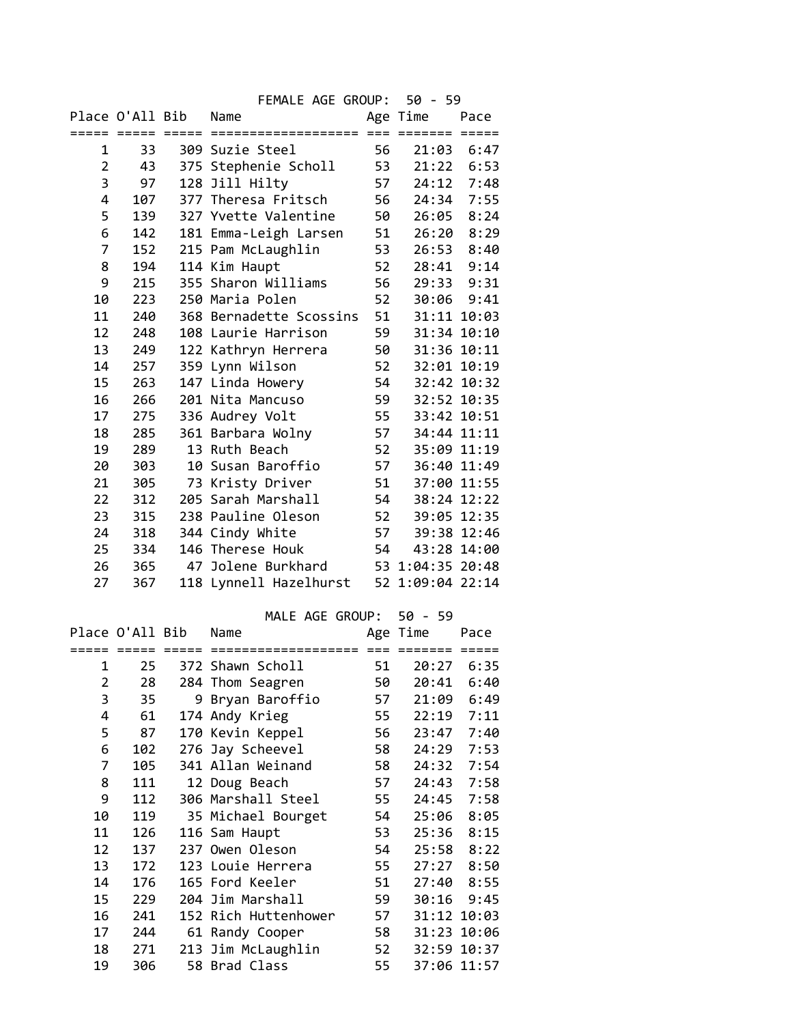|                |     |                      | FEMALE AGE GROUP: 50 - 59               |    |             |      |
|----------------|-----|----------------------|-----------------------------------------|----|-------------|------|
|                |     | Place O'All Bib Name |                                         |    | Age Time    | Pace |
|                |     |                      |                                         |    |             |      |
| 1              | 33  |                      | 309 Suzie Steel                         | 56 | 21:03 6:47  |      |
| $\overline{2}$ | 43  |                      | 375 Stephenie Scholl                    | 53 | 21:22 6:53  |      |
| 3              | 97  |                      | 128 Jill Hilty                          | 57 | 24:12 7:48  |      |
| 4              | 107 |                      | 377 Theresa Fritsch                     | 56 | 24:34       | 7:55 |
| 5              | 139 |                      | 327 Yvette Valentine                    | 50 | 26:05       | 8:24 |
| 6              | 142 |                      | 181 Emma-Leigh Larsen                   | 51 | 26:20       | 8:29 |
| 7              | 152 |                      | 215 Pam McLaughlin                      | 53 | 26:53       | 8:40 |
| 8              | 194 |                      | 114 Kim Haupt                           | 52 | 28:41 9:14  |      |
| 9              | 215 |                      | 355 Sharon Williams                     | 56 | 29:33 9:31  |      |
| 10             | 223 |                      | 250 Maria Polen                         | 52 | 30:06 9:41  |      |
| 11             | 240 |                      | 368 Bernadette Scossins                 | 51 | 31:11 10:03 |      |
| 12             | 248 |                      | 108 Laurie Harrison                     | 59 | 31:34 10:10 |      |
| 13             | 249 |                      | 122 Kathryn Herrera                     | 50 | 31:36 10:11 |      |
| 14             | 257 |                      | 359 Lynn Wilson                         | 52 | 32:01 10:19 |      |
| 15             | 263 |                      | 147 Linda Howery                        | 54 | 32:42 10:32 |      |
| 16             | 266 |                      | 201 Nita Mancuso                        | 59 | 32:52 10:35 |      |
| 17             | 275 |                      | 336 Audrey Volt                         | 55 | 33:42 10:51 |      |
| 18             | 285 |                      | 361 Barbara Wolny                       | 57 | 34:44 11:11 |      |
| 19             | 289 |                      | 13 Ruth Beach                           | 52 | 35:09 11:19 |      |
| 20             | 303 |                      | 10 Susan Baroffio                       | 57 | 36:40 11:49 |      |
| 21             | 305 |                      | 73 Kristy Driver                        | 51 | 37:00 11:55 |      |
| 22             | 312 |                      | 205 Sarah Marshall                      | 54 | 38:24 12:22 |      |
| 23             | 315 |                      | 238 Pauline Oleson                      | 52 | 39:05 12:35 |      |
| 24             | 318 |                      | 344 Cindy White                         | 57 | 39:38 12:46 |      |
| 25             | 334 |                      | 146 Therese Houk                        | 54 | 43:28 14:00 |      |
| 26             | 365 |                      | 47 Jolene Burkhard 53 1:04:35 20:48     |    |             |      |
| 27             | 367 |                      | 118 Lynnell Hazelhurst 52 1:09:04 22:14 |    |             |      |
|                |     |                      |                                         |    |             |      |
|                |     |                      | MALE AGE GROUP: 50 - 59                 |    |             |      |
|                |     | Place O'All Bib      | Name                                    |    | Age Time    | Pace |
|                |     |                      |                                         |    |             |      |
|                |     |                      | 1 25 372 Shawn Scholl 51 20:27 6:35     |    |             |      |
| 2              | 28  |                      | 284 Thom Seagren                        | 50 | 20:41       | 6:40 |
| 3              | 35  |                      | 9 Bryan Baroffio                        | 57 | 21:09       | 6:49 |
| 4              | 61  |                      | 174 Andy Krieg                          | 55 | 22:19       | 7:11 |
| 5              | 87  |                      | 170 Kevin Keppel                        | 56 | 23:47       | 7:40 |
| 6              | 102 |                      | 276 Jay Scheevel                        | 58 | 24:29       | 7:53 |
| 7              | 105 |                      | 341 Allan Weinand                       | 58 | 24:32       | 7:54 |
| 8              | 111 |                      | 12 Doug Beach                           | 57 | 24:43       | 7:58 |
| 9              | 112 |                      | 306 Marshall Steel                      | 55 | 24:45       | 7:58 |
| 10             | 119 |                      | 35 Michael Bourget                      | 54 | 25:06       | 8:05 |
| 11             | 126 |                      | 116 Sam Haupt                           | 53 | 25:36       | 8:15 |
| 12             | 137 |                      | 237 Owen Oleson                         | 54 | 25:58       | 8:22 |
| 13             | 172 |                      | 123 Louie Herrera                       | 55 | 27:27       | 8:50 |
| 14             | 176 |                      | 165 Ford Keeler                         | 51 | 27:40       | 8:55 |
| 15             | 229 |                      | 204 Jim Marshall                        | 59 | 30:16       | 9:45 |
| 16             | 241 |                      | 152 Rich Huttenhower                    | 57 | 31:12 10:03 |      |
| 17             | 244 |                      | 61 Randy Cooper                         | 58 | 31:23 10:06 |      |
| 18             | 271 |                      | 213 Jim McLaughlin                      | 52 | 32:59 10:37 |      |
| 19             | 306 |                      | 58 Brad Class                           | 55 | 37:06 11:57 |      |